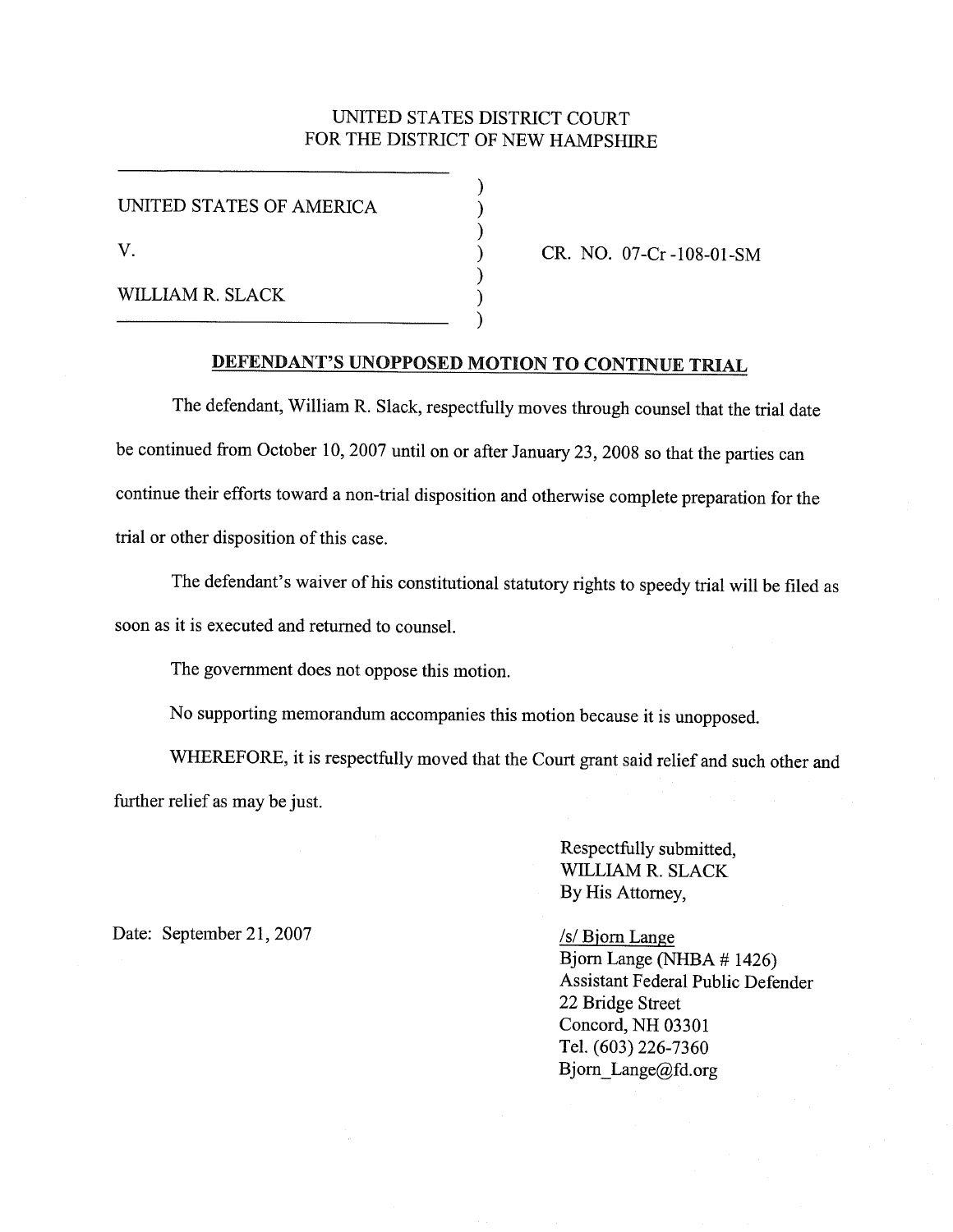#### UNITED STATES DISTRICT COURT FOR THE DISTRICT OF NEW HAMPSHIRE

) ) ) ) ) ) )

UNITED STATES OF AMERICA

v.

WILLIAM R. SLACK

CR. NO. 07-Cr -108-01-SM

### DEFENDANT'S UNOPPOSED MOTION TO CONTINUE TRIAL

The defendant, William R. Slack, respectfully moves through counsel that the trial date be continued from October 10,2007 until on or after January 23,2008 so that the parties can continue their efforts toward a non-trial disposition and otherwise complete preparation for the trial or other disposition of this case.

The defendant's waiver of his constitutional statutory rights to speedy trial will be filed as soon as it is executed and returned to counsel.

The government does not oppose this motion.

No supporting memorandum accompanies this motion because it is unopposed.

WHEREFORE, it is respectfully moved that the Court grant said relief and such other and further relief as may be just.

> Respectfully submitted, WILLIAM R. SLACK By His Attorney,

Date: September 21, 2007 /s/ Bjorn Lange

Bjorn Lange (NHBA # 1426) Assistant Federal Public Defender 22 Bridge Street Concord, NH 03301 Tel. (603) 226-7360 Bjorn Lange@fd.org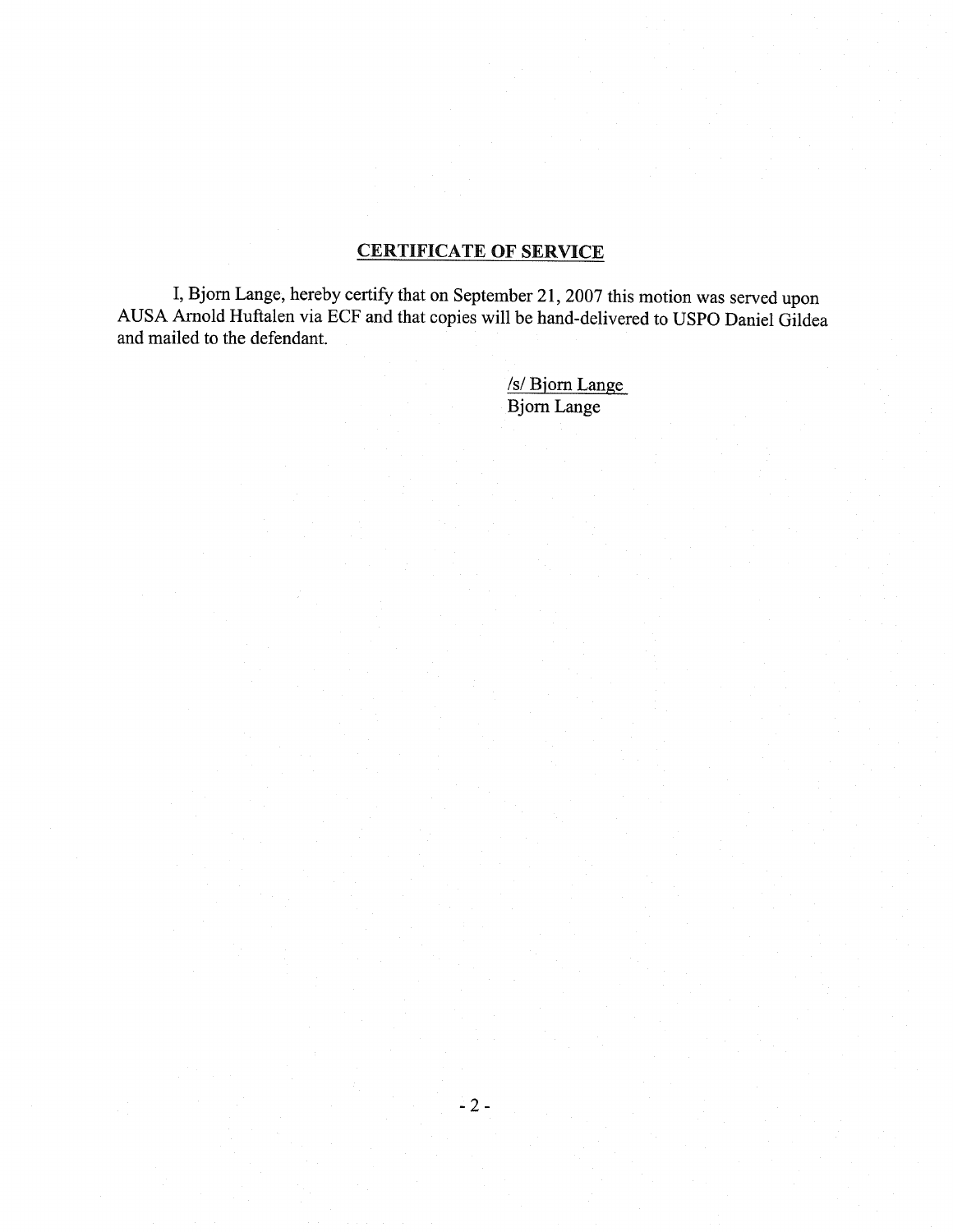# CERTIFICATE OF SERVICE

**I,**Bjorn Lange, hereby certify that on September 21,2007 this motion was served upon AUSA Arnold Huftalen via ECF and that copies will be hand-delivered to USPO Daniel Gildea and mailed to the defendant.

> /s/ Biorn Lange Bjorn Lange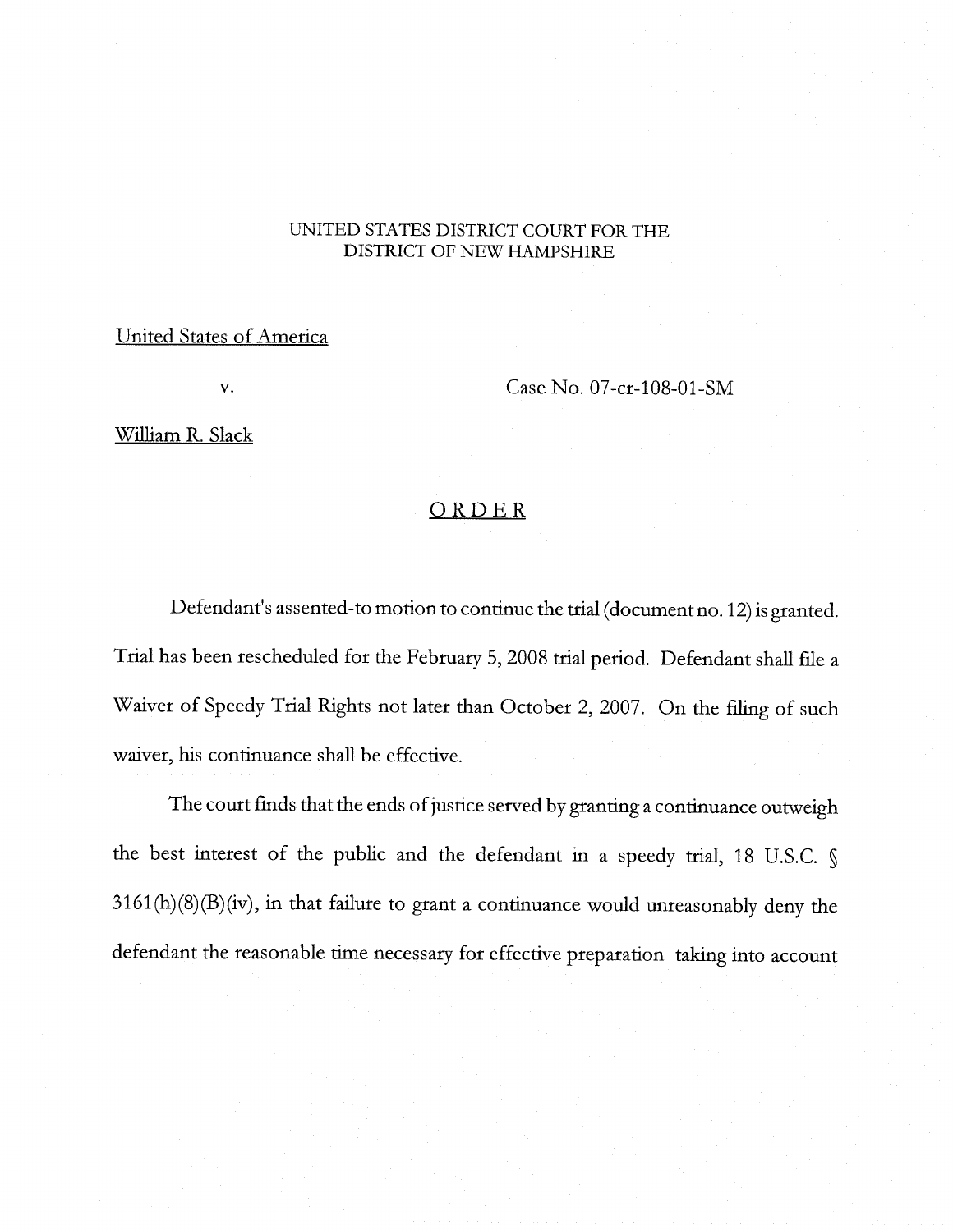#### UNITED STATES DISTRICT COURT FOR THE DISTRICT OF NEW HAMPSHIRE

### United States of America

v.

Case No. 07-cr-108-01-SM

William R. Slack

## ORDER

Defendant's assented-to motion to continue the trial (document no. 12) is granted. Trial has been rescheduled for the February 5, 2008 trial period. Defendant shall flie a Waiver of Speedy Trial Rights not later than October 2, 2007. On the filing of such waiver, his continuance shall be effective.

The court finds that the ends of justice served by granting a continuance outweigh the best interest of the public and the defendant in a speedy trial, 18 D.S.C. § 3161 (h)(8)(B)(iv), in that failure to grant a continuance would unreasonably deny the defendant the reasonable time necessary for effective preparation taking into account